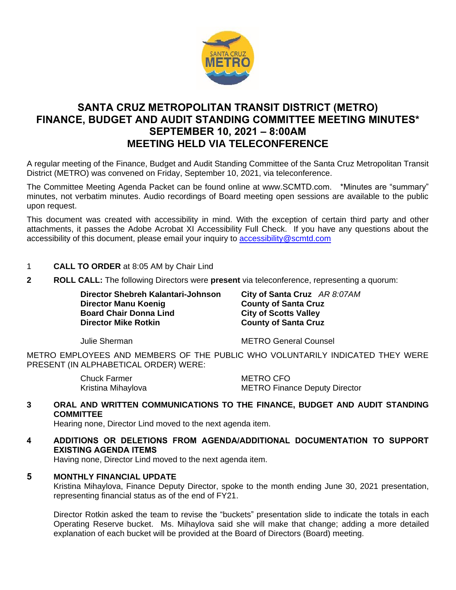

# **SANTA CRUZ METROPOLITAN TRANSIT DISTRICT (METRO) FINANCE, BUDGET AND AUDIT STANDING COMMITTEE MEETING MINUTES\* SEPTEMBER 10, 2021 – 8:00AM MEETING HELD VIA TELECONFERENCE**

A regular meeting of the Finance, Budget and Audit Standing Committee of the Santa Cruz Metropolitan Transit District (METRO) was convened on Friday, September 10, 2021, via teleconference.

The Committee Meeting Agenda Packet can be found online at www.SCMTD.com. \*Minutes are "summary" minutes, not verbatim minutes. Audio recordings of Board meeting open sessions are available to the public upon request.

This document was created with accessibility in mind. With the exception of certain third party and other attachments, it passes the Adobe Acrobat XI Accessibility Full Check. If you have any questions about the accessibility of this document, please email your inquiry to [accessibility@scmtd.com](mailto:accessibility@scmtd.com)

- 1 **CALL TO ORDER** at 8:05 AM by Chair Lind
- **2 ROLL CALL:** The following Directors were **present** via teleconference, representing a quorum:

**Director Shebreh Kalantari-Johnson City of Santa Cruz** *AR 8:07AM* **Director Manu Koenig <b>County of Santa Cruz Board Chair Donna Lind City of Scotts Valley<br>
Director Mike Rotkin County of Santa Cruz** 

**County of Santa Cruz** 

Julie Sherman METRO General Counsel

METRO EMPLOYEES AND MEMBERS OF THE PUBLIC WHO VOLUNTARILY INDICATED THEY WERE PRESENT (IN ALPHABETICAL ORDER) WERE:

Chuck Farmer METRO CFO

Kristina Mihaylova **METRO Finance Deputy Director** 

**3 ORAL AND WRITTEN COMMUNICATIONS TO THE FINANCE, BUDGET AND AUDIT STANDING COMMITTEE**

Hearing none, Director Lind moved to the next agenda item.

**4 ADDITIONS OR DELETIONS FROM AGENDA/ADDITIONAL DOCUMENTATION TO SUPPORT EXISTING AGENDA ITEMS** 

Having none, Director Lind moved to the next agenda item.

# **5 MONTHLY FINANCIAL UPDATE**

Kristina Mihaylova, Finance Deputy Director, spoke to the month ending June 30, 2021 presentation, representing financial status as of the end of FY21.

Director Rotkin asked the team to revise the "buckets" presentation slide to indicate the totals in each Operating Reserve bucket. Ms. Mihaylova said she will make that change; adding a more detailed explanation of each bucket will be provided at the Board of Directors (Board) meeting.